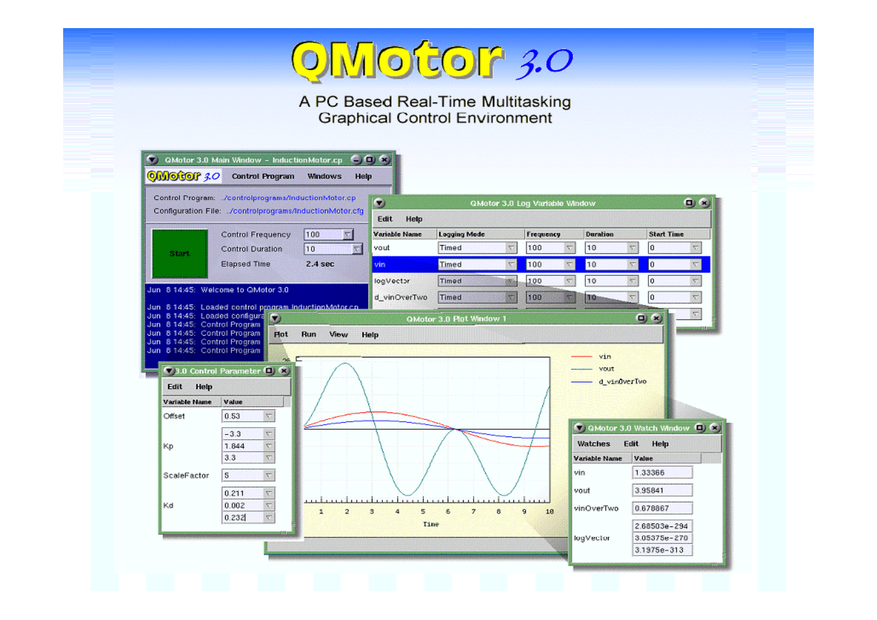

A PC Based Real-Time Multitasking<br>Graphical Control Environment

|                                                                                               | Control Program: //controlprograms/inductionMotor.cp<br>Configuration File: ./controlprograms/inductionMotor.cfg |                    | $\bullet$     |                          | QMotor 3.0 Log Variable Window |           |                       |                                   |                       |                           | $\mathbf{u}$ (x     |
|-----------------------------------------------------------------------------------------------|------------------------------------------------------------------------------------------------------------------|--------------------|---------------|--------------------------|--------------------------------|-----------|-----------------------|-----------------------------------|-----------------------|---------------------------|---------------------|
|                                                                                               |                                                                                                                  |                    | Edit<br>Help  |                          |                                |           |                       |                                   |                       |                           |                     |
|                                                                                               | <b>Control Frequency</b>                                                                                         | 100                | Variable Name | <b>Logging Mode</b>      |                                | Frequency |                       | <b>Duration</b>                   |                       | <b>Start Time</b>         |                     |
| Start                                                                                         | <b>Control Duration</b>                                                                                          | 10<br>Ψ            | vout          | Timed                    | $\boldsymbol{\nabla}$          | 100       | $\overline{\nabla}$   | 10                                | $\boldsymbol{\nabla}$ | 10                        | 4                   |
|                                                                                               | <b>Elapsed Time</b>                                                                                              | $2.4$ sec          | vin.          | Timed                    | $\nabla$                       | 100       | $\boldsymbol{\nabla}$ | 10                                | $\nabla$              | 0                         | v                   |
| Jun 8 14:45: Welcome to QMotor 3.0                                                            |                                                                                                                  |                    | logVector     | <b>Timed</b>             | <b>ING</b>                     | 100       | $\overline{\nabla}$   | 10                                | $\nabla$              | ١o                        | ÷                   |
|                                                                                               |                                                                                                                  |                    | d_vinOverTwo  | <b>Timed</b>             | $\overline{\mathbf{x}}$        | 100       | $\overline{\nabla}$   | 10                                | ₹                     | I٥                        | $\overline{\nabla}$ |
|                                                                                               | Jun 8 14:45: Loaded control program inductionMotor.co.<br>Jun 8 14:45: Loaded configura (C)                      |                    |               | QMotor 3.0 Plot Window 1 |                                |           |                       |                                   |                       | $\mathbf{D}$ $\mathbf{x}$ |                     |
| Jun 8 14:45: Control Program<br>Jun 8 14:45: Control Program                                  |                                                                                                                  |                    |               |                          |                                |           |                       |                                   |                       |                           |                     |
|                                                                                               |                                                                                                                  |                    |               |                          |                                |           |                       |                                   |                       |                           |                     |
| Help<br>Edit                                                                                  | <b>Plot</b><br>na.<br>3.0 Control Parameter (D) (R)                                                              | <b>Run</b><br>View | Help          |                          |                                |           |                       | vin<br>vout                       | d_vin0verTwo          |                           |                     |
|                                                                                               | Value<br>$\boldsymbol{\nabla}$<br>0.53                                                                           |                    |               |                          |                                |           |                       |                                   |                       |                           |                     |
|                                                                                               | $\overline{\nabla}$<br>$-3.3$                                                                                    |                    |               |                          |                                |           |                       | C QMotor 3.0 Watch Window (C) (X) |                       |                           |                     |
|                                                                                               | $\overline{\nabla}$<br>1.844                                                                                     |                    |               |                          |                                |           |                       | Watches                           | Edit                  | Help                      |                     |
| Jun 8 14:45: Control Program<br>Jun 8 14:45: Control Program<br>Variable Name<br>Offset<br>Кp | $\nabla$<br>3.3                                                                                                  |                    |               |                          |                                |           |                       | Variable Name                     | Value                 |                           |                     |
| ScaleFactor                                                                                   | $\mathbf{s}$<br>$\overline{\nabla}$                                                                              |                    |               |                          |                                |           |                       | vin                               |                       | 1.33366                   |                     |
|                                                                                               | 0.211<br>$\boldsymbol{\nabla}$                                                                                   |                    |               |                          |                                |           |                       | vout                              |                       | 3.95841                   |                     |
|                                                                                               | $\boldsymbol{\nabla}$<br>0.002                                                                                   | $\overline{2}$     | 5<br>3<br>4   | 6<br>$\overline{z}$      | 8                              | 9<br>10   |                       | vinOverTwo                        |                       | 0.678867                  |                     |
| Kd                                                                                            | $\nabla$<br>0.232                                                                                                |                    |               | Tine                     |                                |           |                       |                                   |                       | 2.68503e-294              |                     |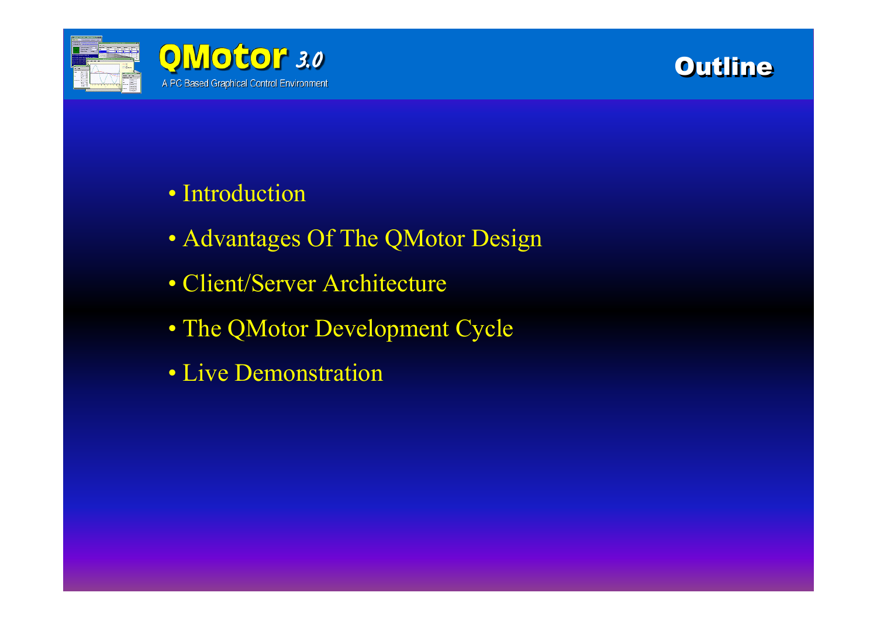

# **Outline**

## • Introduction

- Advantages Of The QMotor Design
- Client/Server Architecture
- The QMotor Development Cycle
- Live Demonstration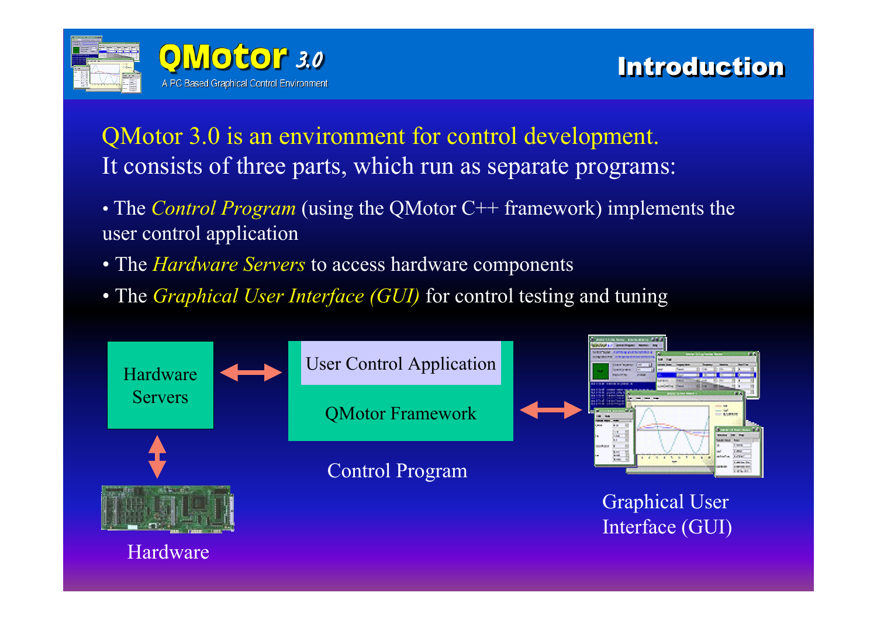

QMotor 3.0 is an environment for control development. It consists of three parts, which run as separate programs:

- The *Control Program* (using the QMotor C++ framework) implements the user control application
- The *Hardware Servers* to access hardware components
- The *Graphical User Interface (GUI)* for control testing and tuning

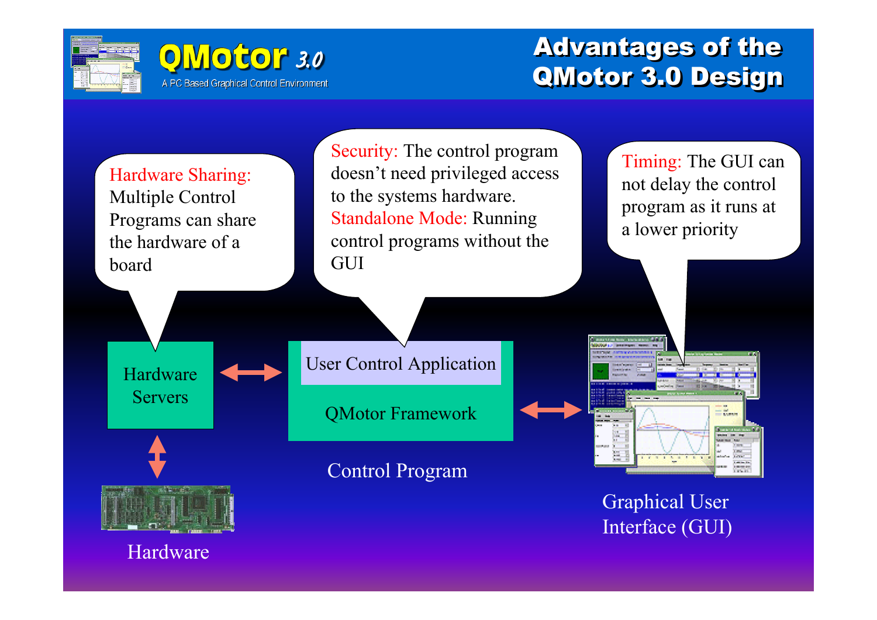



## Advantages of the Advantages of the QMotor 3.0 Design QMotor 3.0 Design

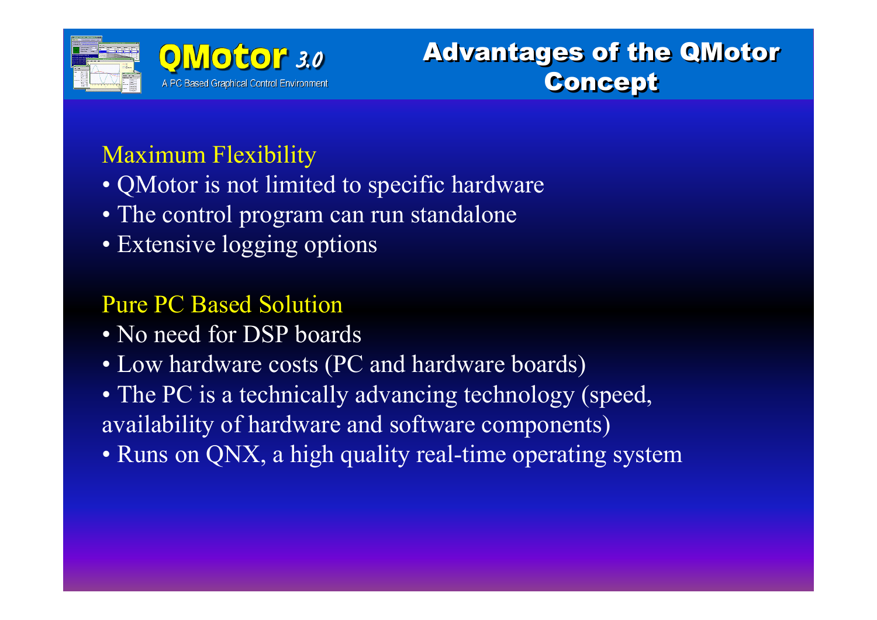

# Advantages of the QMotor Advantages of the QMotor Concept Concept

## Maximum Flexibility

- QMotor is not limited to specific hardware
- The control program can run standalone
- Extensive logging options

## Pure PC Based Solution

- No need for DSP boards
- Low hardware costs (PC and hardware boards)
- The PC is a technically advancing technology (speed, availability of hardware and software components)
- Runs on QNX, a high quality real-time operating system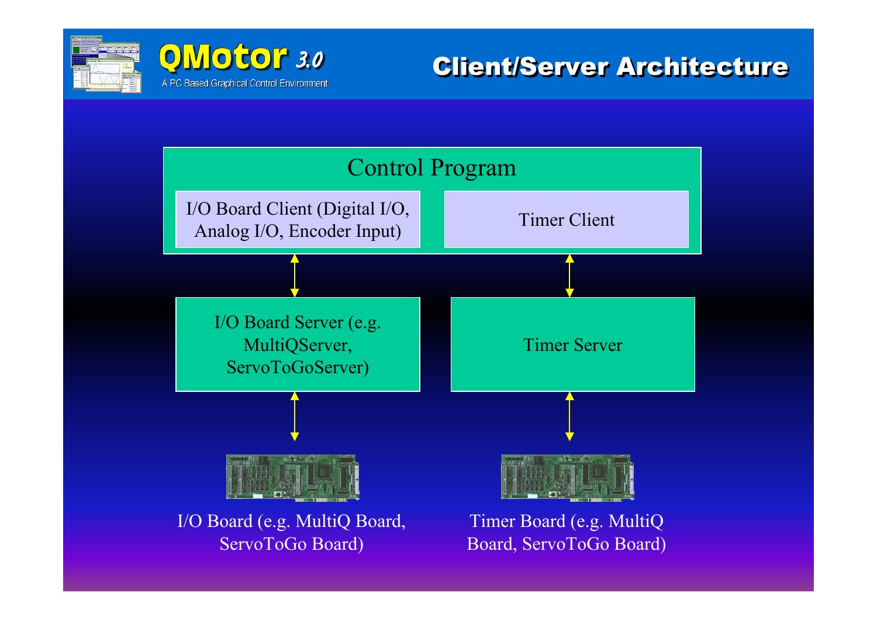



**Client/Server Architecture** 

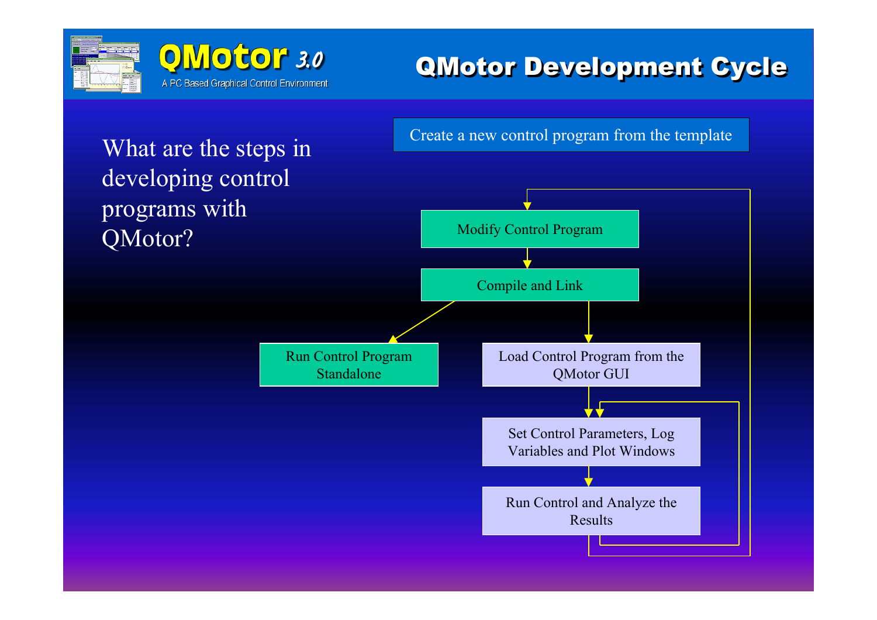



#### QMotor Development Cycle QMotor Development Cycle

What are the steps in developing control programs with QMotor?

Create a new control program from the template

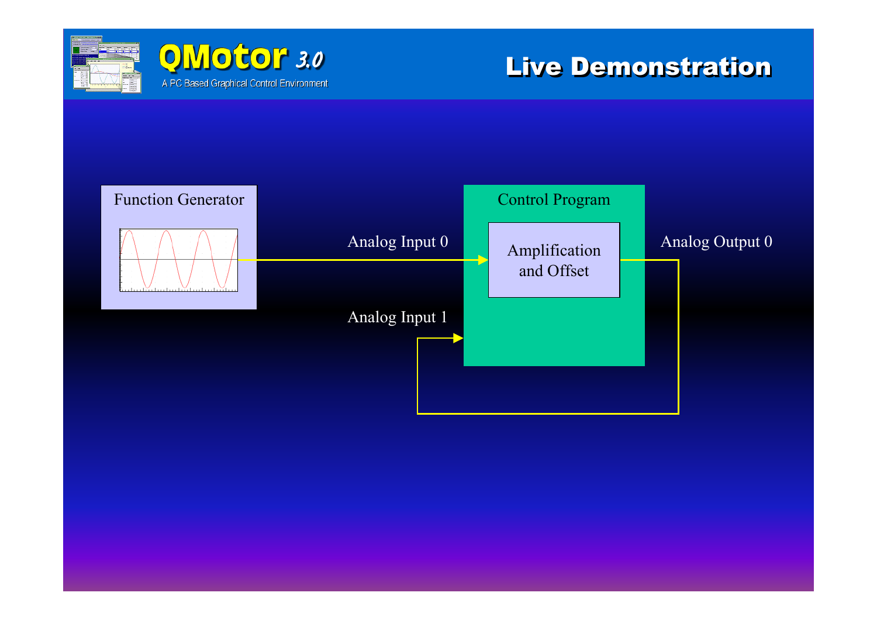



#### Live Demonstration

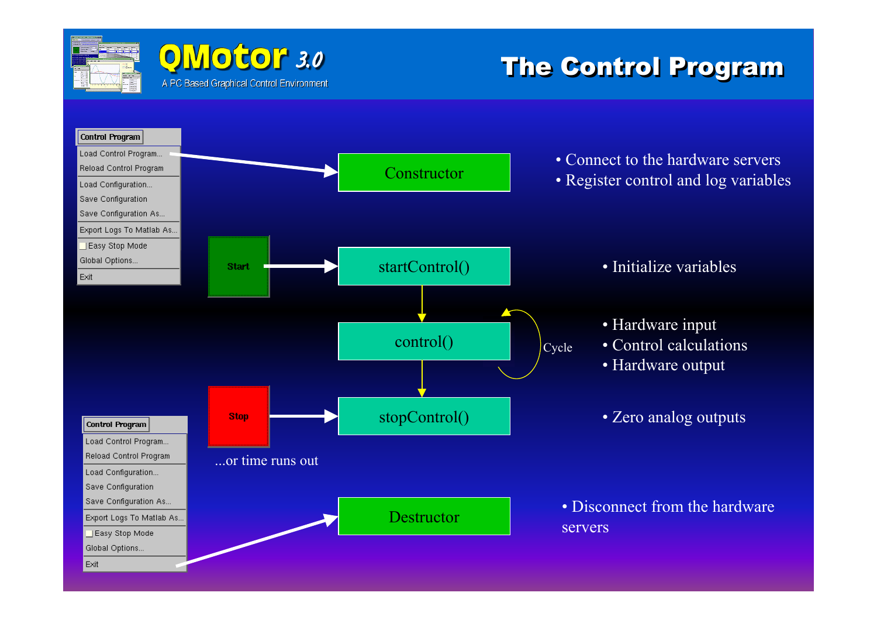![](_page_8_Picture_0.jpeg)

#### **OMotor** 3.0 A PC Based Graphical Control Environment

#### **The Control Program**

![](_page_8_Figure_3.jpeg)